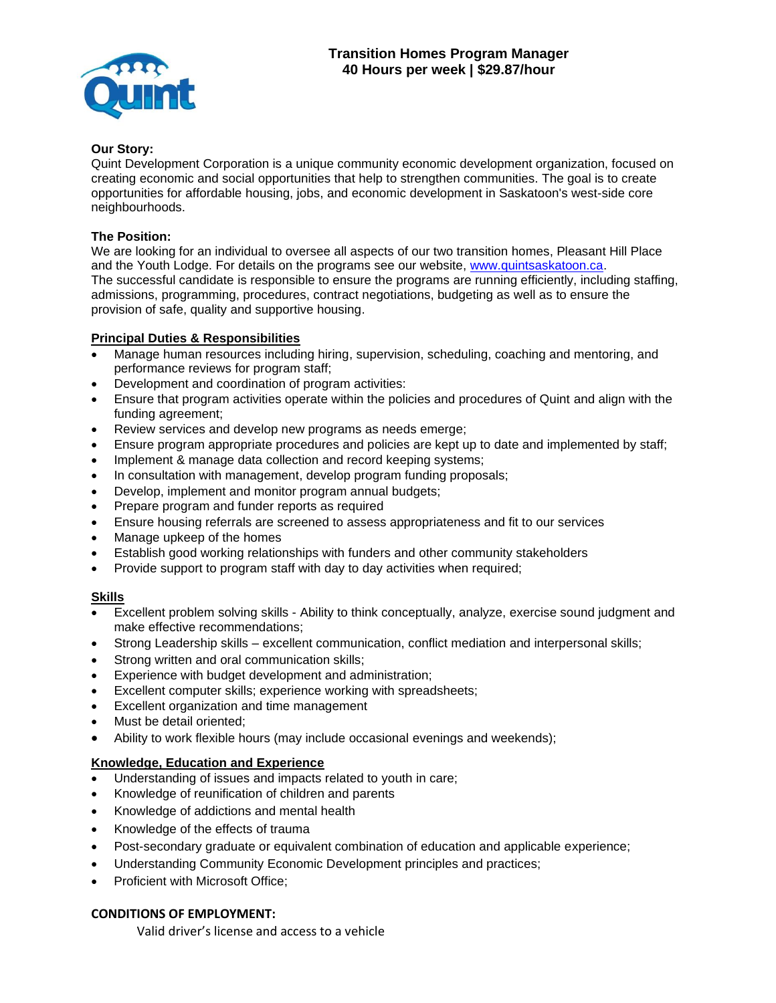

### **Our Story:**

Quint Development Corporation is a unique community economic development organization, focused on creating economic and social opportunities that help to strengthen communities. The goal is to create opportunities for affordable housing, jobs, and economic development in Saskatoon's west-side core neighbourhoods.

### **The Position:**

We are looking for an individual to oversee all aspects of our two transition homes, Pleasant Hill Place and the Youth Lodge. For details on the programs see our website, [www.quintsaskatoon.ca.](http://www.quintsaskatoon.ca/) The successful candidate is responsible to ensure the programs are running efficiently, including staffing, admissions, programming, procedures, contract negotiations, budgeting as well as to ensure the provision of safe, quality and supportive housing.

# **Principal Duties & Responsibilities**

- Manage human resources including hiring, supervision, scheduling, coaching and mentoring, and performance reviews for program staff;
- Development and coordination of program activities:
- Ensure that program activities operate within the policies and procedures of Quint and align with the funding agreement;
- Review services and develop new programs as needs emerge;
- Ensure program appropriate procedures and policies are kept up to date and implemented by staff;
- Implement & manage data collection and record keeping systems;
- In consultation with management, develop program funding proposals;
- Develop, implement and monitor program annual budgets;
- Prepare program and funder reports as required
- Ensure housing referrals are screened to assess appropriateness and fit to our services
- Manage upkeep of the homes
- Establish good working relationships with funders and other community stakeholders
- Provide support to program staff with day to day activities when required;

# **Skills**

- Excellent problem solving skills Ability to think conceptually, analyze, exercise sound judgment and make effective recommendations;
- Strong Leadership skills excellent communication, conflict mediation and interpersonal skills;
- Strong written and oral communication skills;
- Experience with budget development and administration;
- Excellent computer skills; experience working with spreadsheets;
- Excellent organization and time management
- Must be detail oriented:
- Ability to work flexible hours (may include occasional evenings and weekends);

# **Knowledge, Education and Experience**

- Understanding of issues and impacts related to youth in care;
- Knowledge of reunification of children and parents
- Knowledge of addictions and mental health
- Knowledge of the effects of trauma
- Post-secondary graduate or equivalent combination of education and applicable experience;
- Understanding Community Economic Development principles and practices;
- Proficient with Microsoft Office;

#### **CONDITIONS OF EMPLOYMENT:**

Valid driver's license and access to a vehicle